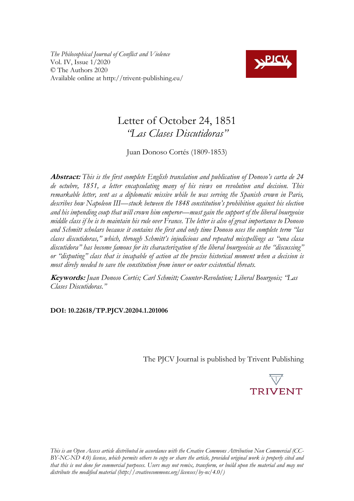*The Philosophical Journal of Conflict and Violence* Vol. IV, Issue 1/2020 © The Authors 2020 Available online at http://trivent-publishing.eu/



# Letter of October 24, 1851 *"Las Clases Discutidoras"*

Juan Donoso Cortés (1809-1853)

**Abstract:** *This is the first complete English translation and publication of Donoso's carta de 24 de octubre, 1851, a letter encapsulating many of his views on revolution and decision. This remarkable letter, sent as a diplomatic missive while he was serving the Spanish crown in Paris, describes how Napoleon III––stuck between the 1848 constitution's prohibition against his election and his impending coup that will crown him emperor––must gain the support of the liberal bourgeoise middle class if he is to maintain his rule over France. The letter is also of great importance to Donoso and Schmitt scholars because it contains the first and only time Donoso uses the complete term "las clases discutidoras," which, through Schmitt's injudicious and repeated misspellings as "una clasa discutidora" has become famous for its characterization of the liberal bourgeoisie as the "discussing" or "disputing" class that is incapable of action at the precise historical moment when a decision is most direly needed to save the constitution from inner or outer existential threats.* 

**Keywords:** *Juan Donoso Cortés; Carl Schmitt; Counter-Revolution; Liberal Bourgeois; "Las Clases Discutidoras."*

# **DOI: 10.22618/TP.PJCV.20204.1.201006**

The PJCV Journal is published by Trivent Publishing



*This is an Open Access article distributed in accordance with the Creative Commons Attribution Non Commercial (CC-BY-NC-ND 4.0) license, which permits others to copy or share the article, provided original work is properly cited and*  that this is not done for commercial purposes. Users may not remix, transform, or build upon the material and may not *distribute the modified material (http://creativecommons.org/licenses/by-nc/4.0/)*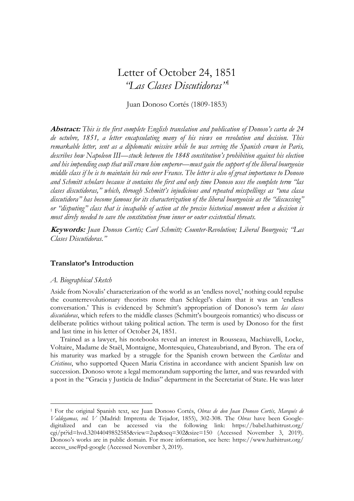# Letter of October 24, 1851 *"Las Clases Discutidoras"*<sup>1</sup>

Juan Donoso Cortés (1809-1853)

**Abstract:** *This is the first complete English translation and publication of Donoso's carta de 24 de octubre, 1851, a letter encapsulating many of his views on revolution and decision. This remarkable letter, sent as a diplomatic missive while he was serving the Spanish crown in Paris, describes how Napoleon III––stuck between the 1848 constitution's prohibition against his election and his impending coup that will crown him emperor––must gain the support of the liberal bourgeoise middle class if he is to maintain his rule over France. The letter is also of great importance to Donoso and Schmitt scholars because it contains the first and only time Donoso uses the complete term "las clases discutidoras," which, through Schmitt's injudicious and repeated misspellings as "una clasa discutidora" has become famous for its characterization of the liberal bourgeoisie as the "discussing" or "disputing" class that is incapable of action at the precise historical moment when a decision is most direly needed to save the constitution from inner or outer existential threats.* 

**Keywords:** *Juan Donoso Cortés; Carl Schmitt; Counter-Revolution; Liberal Bourgeois; "Las Clases Discutidoras."* 

## **Translator's Introduction**

### *A. Biographical Sketch*

 $\overline{a}$ 

Aside from Novalis' characterization of the world as an 'endless novel,' nothing could repulse the counterrevolutionary theorists more than Schlegel's claim that it was an 'endless conversation.' This is evidenced by Schmitt's appropriation of Donoso's term *las clases discutidoras*, which refers to the middle classes (Schmitt's bourgeois romantics) who discuss or deliberate politics without taking political action. The term is used by Donoso for the first and last time in his letter of October 24, 1851.

Trained as a lawyer, his notebooks reveal an interest in Rousseau, Machiavelli, Locke, Voltaire, Madame de Staël, Montaigne, Montesquieu, Chateaubriand, and Byron. The era of his maturity was marked by a struggle for the Spanish crown between the *Carlistas* and *Cristinos*, who supported Queen Maria Cristina in accordance with ancient Spanish law on succession. Donoso wrote a legal memorandum supporting the latter, and was rewarded with a post in the "Gracia y Justicia de Indias" department in the Secretariat of State. He was later

<sup>1</sup> For the original Spanish text, see Juan Donoso Cortés, *Obras de don Juan Donoso Cortés, Marqués de Valdegamas, vol. V* (Madrid: Imprenta de Tejador, 1855), 302-308. The *Obras* have been Googledigitalized and can be accessed via the following link: [https://babel.hathitrust.org/](https://babel.hathitrust.org/%20cgi/pt?id=hvd.32044049852585&view=2up&seq=302&size=150)  [cgi/pt?id=hvd.32044049852585&view=2up&seq=302&size=150](https://babel.hathitrust.org/%20cgi/pt?id=hvd.32044049852585&view=2up&seq=302&size=150) (Accessed November 3, 2019). Donoso's works are in public domain. For more information, see here: [https://www.hathitrust.org/](https://www.hathitrust.org/%20access_use#pd-google)  [access\\_use#pd-google](https://www.hathitrust.org/%20access_use#pd-google) (Accessed November 3, 2019).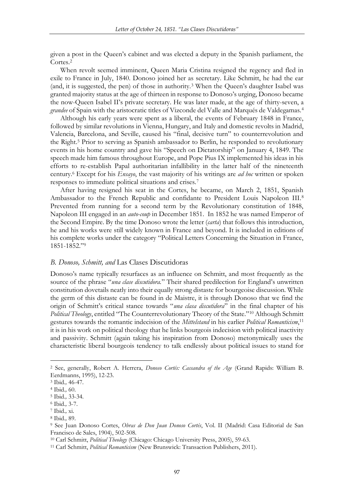given a post in the Queen's cabinet and was elected a deputy in the Spanish parliament, the Cortes.<sup>2</sup>

When revolt seemed imminent, Queen Maria Cristina resigned the regency and fled in exile to France in July, 1840. Donoso joined her as secretary. Like Schmitt, he had the ear (and, it is suggested, the pen) of those in authority.<sup>3</sup> When the Queen's daughter Isabel was granted majority status at the age of thirteen in response to Donoso's urging, Donoso became the now-Queen Isabel II's private secretary. He was later made, at the age of thirty-seven, a *grandee* of Spain with the aristocratic titles of Vizconde del Valle and Marqués de Valdegamas.<sup>4</sup>

Although his early years were spent as a liberal, the events of February 1848 in France, followed by similar revolutions in Vienna, Hungary, and Italy and domestic revolts in Madrid, Valencia, Barcelona, and Seville, caused his "final, decisive turn" to counterrevolution and the Right.<sup>5</sup> Prior to serving as Spanish ambassador to Berlin, he responded to revolutionary events in his home country and gave his "Speech on Dictatorship" on January 4, 1849. The speech made him famous throughout Europe, and Pope Pius IX implemented his ideas in his efforts to re-establish Papal authoritarian infallibility in the latter half of the nineteenth century.<sup>6</sup> Except for his *Ensayo*, the vast majority of his writings are *ad hoc* written or spoken responses to immediate political situations and crises.<sup>7</sup>

After having resigned his seat in the Cortes, he became, on March 2, 1851, Spanish Ambassador to the French Republic and confidante to President Louis Napoleon III.<sup>8</sup> Prevented from running for a second term by the Revolutionary constitution of 1848, Napoleon III engaged in an *auto-coup* in December 1851. In 1852 he was named Emperor of the Second Empire. By the time Donoso wrote the letter (*carta*) that follows this introduction, he and his works were still widely known in France and beyond. It is included in editions of his complete works under the category "Political Letters Concerning the Situation in France, 1851-1852."<sup>9</sup>

## *B. Donoso, Schmitt, and* Las Clases Discutidoras

Donoso's name typically resurfaces as an influence on Schmitt, and most frequently as the source of the phrase "*una clase discutidora.*" Their shared predilection for England's unwritten constitution dovetails neatly into their equally strong distaste for bourgeoise discussion. While the germ of this distaste can be found in de Maistre, it is through Donoso that we find the origin of Schmitt's critical stance towards "*una clasa discutidora*" in the final chapter of his *Political Theology*, entitled "The Counterrevolutionary Theory of the State."<sup>10</sup> Although Schmitt gestures towards the romantic indecision of the *Mittelstand* in his earlier *Political Romanticism*, 11 it is in his work on political theology that he links bourgeois indecision with political inactivity and passivity. Schmitt (again taking his inspiration from Donoso) metonymically uses the characteristic liberal bourgeois tendency to talk endlessly about political issues to stand for

 $\overline{a}$ 

<sup>2</sup> See, generally, Robert A. Herrera, *Donoso Cortés: Cassandra of the Age* (Grand Rapids: William B. Eerdmanns, 1995), 12-23.

<sup>3</sup> Ibid*.,* 46-47.

<sup>4</sup> Ibid.*,* 60.

<sup>5</sup> Ibid.*,* 33-34.

<sup>6</sup> Ibid.*,* 3-7.

<sup>7</sup> Ibid.*,* xi.

<sup>8</sup> Ibid.*,* 89.

<sup>9</sup> See Juan Donoso Cortes, *Obras de Don Juan Donoso Cortés*, Vol. II (Madrid: Casa Editorial de San Francisco de Sales, 1904), 502-508.

<sup>10</sup> Carl Schmitt, *Political Theology* (Chicago: Chicago University Press, 2005), 59-63.

<sup>11</sup> Carl Schmitt, *Political Romanticism* (New Brunswick: Transaction Publishers, 2011).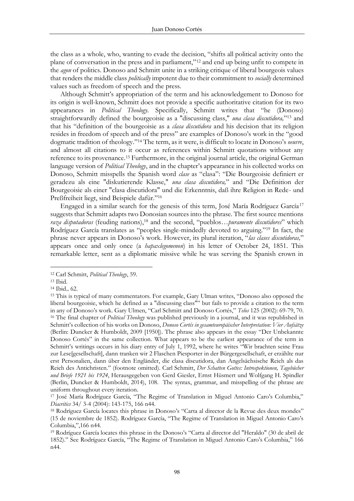the class as a whole, who, wanting to evade the decision, "shifts all political activity onto the plane of conversation in the press and in parliament,"<sup>12</sup> and end up being unfit to compete in the *agon* of politics. Donoso and Schmitt unite in a striking critique of liberal bourgeois values that renders the middle class *politically* impotent due to their commitment to *socially* determined values such as freedom of speech and the press.

Although Schmitt's appropriation of the term and his acknowledgement to Donoso for its origin is well-known, Schmitt does not provide a specific authoritative citation for its two appearances in *Political Theology.* Specifically, Schmitt writes that "he (Donoso) straightforwardly defined the bourgeoisie as a "discussing class," *una clasa discutidora,*" <sup>13</sup> and that his "definition of the bourgeoisie as a *clasa discutidora* and his decision that its religion resides in freedom of speech and of the press" are examples of Donoso's work in the "good dogmatic tradition of theology."<sup>14</sup> The term, as it were, is difficult to locate in Donoso's *oeuvre*, and almost all citations to it occur as references within Schmitt quotations without any reference to its provenance.<sup>15</sup> Furthermore, in the original journal article, the original German language version of *Political Theology*, and in the chapter's appearance in his collected works on Donoso, Schmitt misspells the Spanish word *clase* as "clasa": "Die Bourgeoisie definiert er geradezu als eine "diskutierende Klasse," *una clasa discutidora,*" and "Die Definition der Bourgeoisie als einer "clasa discutidora" und die Erkenntnis, daß ihre Religion in Rede- und Preßfreiheit liegt, sind Beispiele dafür."<sup>16</sup>

Engaged in a similar search for the genesis of this term, José María Rodríguez García<sup>17</sup> suggests that Schmitt adapts two Donosian sources into the phrase. The first source mentions *raza disputadoras* (feuding nations),<sup>18</sup> and the second, "pueblos…*puramente discutidores*" which Rodríguez García translates as "peoples single-mindedly devoted to arguing."<sup>19</sup> In fact, the phrase never appears in Donoso's work. However, its plural iteration, "*las clases discutidoras,*" appears once and only once (a *hapaxlegomenon*) in his letter of October 24, 1851. This remarkable letter, sent as a diplomatic missive while he was serving the Spanish crown in

 $\overline{a}$ 

<sup>12</sup> Carl Schmitt, *Political Theology*, 59.

<sup>13</sup> Ibid.

<sup>14</sup> Ibid*.,* 62.

<sup>15</sup> This is typical of many commentators. For example, Gary Ulman writes, "Donoso also opposed the liberal bourgeoisie, which he defined as a "discussing class"" but fails to provide a citation to the term in any of Donoso's work. Gary Ulmen, "Carl Schmitt and Donoso Cortés," *Telos* 125 (2002): 69-79, 70. <sup>16</sup> The final chapter of *Political Theology* was published previously in a journal, and it was republished in Schmitt's collection of his works on Donoso, *Donoso Cortés in gesamteuropäischer Interpretation: Vier Aufsätze*  (Berlin: Duncker & Humboldt, 2009 [1950]). The phrase also appears in the essay "Der Unbekannte Donoso Cortés" in the same collection. What appears to be the earliest appearance of the term in Schmitt's writings occurs in his diary entry of July 1, 1992, where he writes "Wir brachten seine Frau zur Lese[gesellschaft], dann tranken wir 2 Flaschen Piesporter in der Bürgergesellschaft, er erzählte nur erst Personalien, dann über den Engländer, die clasa discutidora, dan Angelsächsische Reich als das Reich des Antichristen." (footnote omitted). Carl Schmitt, *Der Schatten Gottes: Introspektionen, Tagebücher und Briefe 1921 bis 1924*, Herausgegeben von Gerd Giesler, Ernst Hüsmert und Wolfgang H. Spindler (Berlin, Duncker & Humboldt, 2014), 108. The syntax, grammar, and misspelling of the phrase are uniform throughout every iteration.

<sup>17</sup> José María Rodríguez García, "The Regime of Translation in Miguel Antonio Caro's Columbia," *Diacritics* 34/ 3-4 (2004): 143-175, 166 n44.

<sup>18</sup> Rodríguez García locates this phrase in Donoso's "Carta al director de la Revue des deux mondes" (15 de noviembre de 1852). Rodríguez García, "The Regime of Translation in Miguel Antonio Caro's Columbia,",166 n44.

<sup>19</sup> Rodríguez García locates this phrase in the Donoso's "Carta al director del "Heraldo" (30 de abril de 1852)." See Rodríguez García, "The Regime of Translation in Miguel Antonio Caro's Columbia," 166 n44.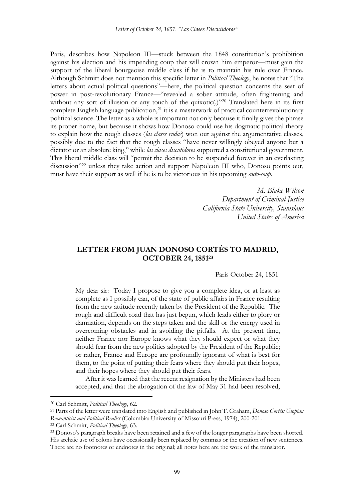Paris, describes how Napoleon III––stuck between the 1848 constitution's prohibition against his election and his impending coup that will crown him emperor––must gain the support of the liberal bourgeoise middle class if he is to maintain his rule over France. Although Schmitt does not mention this specific letter in *Political Theology*, he notes that "The letters about actual political questions"––here, the political question concerns the seat of power in post-revolutionary France––"revealed a sober attitude, often frightening and without any sort of illusion or any touch of the quixotic(.)"<sup>20</sup> Translated here in its first complete English language publication,<sup>21</sup> it is a masterwork of practical counterrevolutionary political science. The letter as a whole is important not only because it finally gives the phrase its proper home, but because it shows how Donoso could use his dogmatic political theory to explain how the rough classes (*las clases rudas*) won out against the argumentative classes, possibly due to the fact that the rough classes "have never willingly obeyed anyone but a dictator or an absolute king," while *las clases discutidores* supported a constitutional government. This liberal middle class will "permit the decision to be suspended forever in an everlasting discussion"<sup>22</sup> unless they take action and support Napoleon III who, Donoso points out, must have their support as well if he is to be victorious in his upcoming *auto-coup*.

> *M. Blake Wilson Department of Criminal Justice California State University, Stanislaus United States of America*

# **LETTER FROM JUAN DONOSO CORTÉS TO MADRID, OCTOBER 24, 1851<sup>23</sup>**

#### Paris October 24, 1851

My dear sir: Today I propose to give you a complete idea, or at least as complete as I possibly can, of the state of public affairs in France resulting from the new attitude recently taken by the President of the Republic. The rough and difficult road that has just begun, which leads either to glory or damnation, depends on the steps taken and the skill or the energy used in overcoming obstacles and in avoiding the pitfalls. At the present time, neither France nor Europe knows what they should expect or what they should fear from the new politics adopted by the President of the Republic; or rather, France and Europe are profoundly ignorant of what is best for them, to the point of putting their fears where they should put their hopes, and their hopes where they should put their fears.

After it was learned that the recent resignation by the Ministers had been accepted, and that the abrogation of the law of May 31 had been resolved,

 $\overline{\phantom{a}}$ 

<sup>22</sup> Carl Schmitt, *Political Theology*, 63.

<sup>20</sup> Carl Schmitt, *Political Theology*, 62.

<sup>21</sup> Parts of the letter were translated into English and published in John T. Graham, *Donoso Cortés: Utopian Romanticist and Political Realist* (Columbia: University of Missouri Press, 1974), 200-201.

<sup>23</sup> Donoso's paragraph breaks have been retained and a few of the longer paragraphs have been shorted. His archaic use of colons have occasionally been replaced by commas or the creation of new sentences. There are no footnotes or endnotes in the original; all notes here are the work of the translator.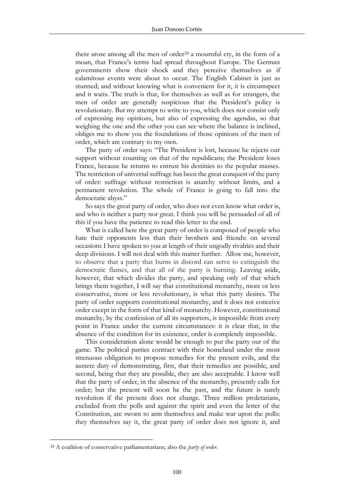there arose among all the men of order<sup>24</sup> a mournful cry, in the form of a moan, that France's terms had spread throughout Europe. The German governments show their shock and they perceive themselves as if calamitous events were about to occur. The English Cabinet is just as stunned; and without knowing what is convenient for it, it is circumspect and it waits. The truth is that, for themselves as well as for strangers, the men of order are generally suspicious that the President's policy is revolutionary. But my attempt to write to you, which does not consist only of expressing my opinions, but also of expressing the agendas, so that weighing the one and the other you can see where the balance is inclined, obliges me to show you the foundations of those opinions of the men of order, which are contrary to my own.

The party of order says: "The President is lost, because he rejects our support without counting on that of the republicans; the President loses France, because he returns to entrust his destinies to the popular masses. The restriction of universal suffrage has been the great conquest of the party of order: suffrage without restriction is anarchy without limits, and a permanent revolution. The whole of France is going to fall into the democratic abyss."

So says the great party of order, who does not even know what order is, and who is neither a party nor great. I think you will be persuaded of all of this if you have the patience to read this letter to the end.

What is called here the great party of order is composed of people who hate their opponents less than their brothers and friends: on several occasions I have spoken to you at length of their ungodly rivalries and their deep divisions. I will not deal with this matter further. Allow me, however, to observe that a party that burns in discord can serve to extinguish the democratic flames, and that all of the party is burning. Leaving aside, however, that which divides the party, and speaking only of that which brings them together, I will say that constitutional monarchy, more or less conservative, more or less revolutionary, is what this party desires. The party of order supports constitutional monarchy, and it does not conceive order except in the form of that kind of monarchy. However, constitutional monarchy, by the confession of all its supporters, is impossible from every point in France under the current circumstances: it is clear that, in the absence of the condition for its existence, order is completely impossible.

This consideration alone would be enough to put the party out of the game. The political parties contract with their homeland under the most strenuous obligation to propose remedies for the present evils, and the austere duty of demonstrating, first, that their remedies are possible, and second, being that they are possible, they are also acceptable. I know well that the party of order, in the absence of the monarchy, presently calls for order; but the present will soon be the past, and the future is surely revolution if the present does not change. Three million proletarians, excluded from the polls and against the spirit and even the letter of the Constitution, are sworn to arm themselves and make war upon the polls: they themselves say it, the great party of order does not ignore it, and

 $\overline{a}$ 

<sup>24</sup> A coalition of conservative parliamentarians; also the *party of order*.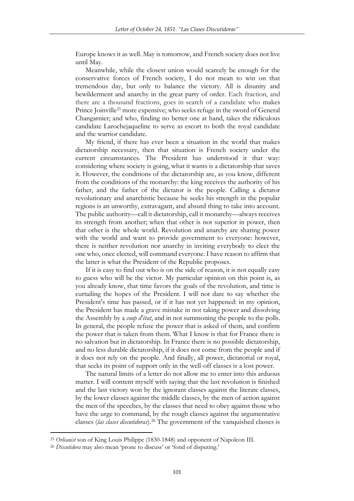Europe knows it as well. May is tomorrow, and French society does not live until May.

Meanwhile, while the closest union would scarcely be enough for the conservative forces of French society, I do not mean to win on that tremendous day, but only to balance the victory. All is disunity and bewilderment and anarchy in the great party of order. Each fraction, and there are a thousand fractions, goes in search of a candidate who makes Prince Joinville<sup>25</sup> more expensive; who seeks refuge in the sword of General Changarnier; and who, finding no better one at hand, takes the ridiculous candidate Larochejaqueline to serve as escort to both the royal candidate and the warrior candidate.

My friend, if there has ever been a situation in the world that makes dictatorship necessary, then that situation is French society under the current circumstances. The President has understood it that way: considering where society is going, what it wants is a dictatorship that saves it. However, the conditions of the dictatorship are, as you know, different from the conditions of the monarchy: the king receives the authority of his father, and the father of the dictator is the people. Calling a dictator revolutionary and anarchistic because he seeks his strength in the popular regions is an unworthy, extravagant, and absurd thing to take into account. The public authority––call it dictatorship, call it monarchy––always receives its strength from another; when that other is not superior in power, then that other is the whole world. Revolution and anarchy are sharing power with the world and want to provide government to everyone: however, there is neither revolution nor anarchy in inviting everybody to elect the one who, once elected, will command everyone. I have reason to affirm that the latter is what the President of the Republic proposes.

If it is easy to find out who is on the side of reason, it is not equally easy to guess who will be the victor. My particular opinion on this point is, as you already know, that time favors the goals of the revolution, and time is curtailing the hopes of the President. I will not dare to say whether the President's time has passed, or if it has not yet happened: in my opinion, the President has made a grave mistake in not taking power and dissolving the Assembly by a *coup d'état*, and in not summoning the people to the polls. In general, the people refuse the power that is asked of them, and confirm the power that is taken from them. What I know is that for France there is no salvation but in dictatorship. In France there is no possible dictatorship, and no less durable dictatorship, if it does not come from the people and if it does not rely on the people. And finally, all power, dictatorial or royal, that seeks its point of support only in the well-off classes is a lost power.

The natural limits of a letter do not allow me to enter into this arduous matter. I will content myself with saying that the last revolution is finished and the last victory won by the ignorant classes against the literate classes, by the lower classes against the middle classes, by the men of action against the men of the speeches, by the classes that need to obey against those who have the urge to command, by the rough classes against the argumentative classes (*las clases discutidoras*).<sup>26</sup> The government of the vanquished classes is

 $\overline{\phantom{a}}$ 

<sup>25</sup> *Orléanist* son of King Louis Philippe (1830-1848) and opponent of Napoleon III.

<sup>26</sup> *Discutidora* may also mean 'prone to discuss' or 'fond of disputing.'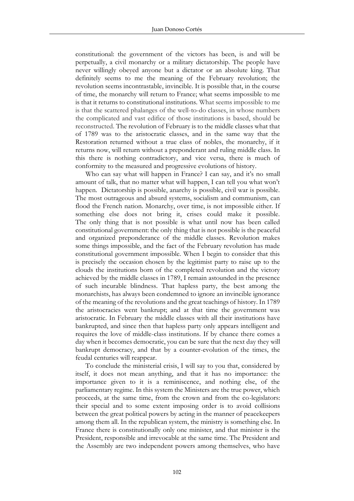constitutional: the government of the victors has been, is and will be perpetually, a civil monarchy or a military dictatorship. The people have never willingly obeyed anyone but a dictator or an absolute king. That definitely seems to me the meaning of the February revolution; the revolution seems incontrastable, invincible. It is possible that, in the course of time, the monarchy will return to France; what seems impossible to me is that it returns to constitutional institutions. What seems impossible to me is that the scattered phalanges of the well-to-do classes, in whose numbers the complicated and vast edifice of those institutions is based, should be reconstructed. The revolution of February is to the middle classes what that of 1789 was to the aristocratic classes, and in the same way that the Restoration returned without a true class of nobles, the monarchy, if it returns now, will return without a preponderant and ruling middle class. In this there is nothing contradictory, and vice versa, there is much of conformity to the measured and progressive evolutions of history.

Who can say what will happen in France? I can say, and it's no small amount of talk, that no matter what will happen, I can tell you what won't happen. Dictatorship is possible, anarchy is possible, civil war is possible. The most outrageous and absurd systems, socialism and communism, can flood the French nation. Monarchy, over time, is not impossible either. If something else does not bring it, crises could make it possible. The only thing that is not possible is what until now has been called constitutional government: the only thing that is not possible is the peaceful and organized preponderance of the middle classes. Revolution makes some things impossible, and the fact of the February revolution has made constitutional government impossible. When I begin to consider that this is precisely the occasion chosen by the legitimist party to raise up to the clouds the institutions born of the completed revolution and the victory achieved by the middle classes in 1789, I remain astounded in the presence of such incurable blindness. That hapless party, the best among the monarchists, has always been condemned to ignore an invincible ignorance of the meaning of the revolutions and the great teachings of history. In 1789 the aristocracies went bankrupt; and at that time the government was aristocratic. In February the middle classes with all their institutions have bankrupted, and since then that hapless party only appears intelligent and requires the love of middle-class institutions. If by chance there comes a day when it becomes democratic, you can be sure that the next day they will bankrupt democracy, and that by a counter-evolution of the times, the feudal centuries will reappear.

To conclude the ministerial crisis, I will say to you that, considered by itself, it does not mean anything, and that it has no importance: the importance given to it is a reminiscence, and nothing else, of the parliamentary regime. In this system the Ministers are the true power, which proceeds, at the same time, from the crown and from the co-legislators: their special and to some extent imposing order is to avoid collisions between the great political powers by acting in the manner of peacekeepers among them all. In the republican system, the ministry is something else. In France there is constitutionally only one minister, and that minister is the President, responsible and irrevocable at the same time. The President and the Assembly are two independent powers among themselves, who have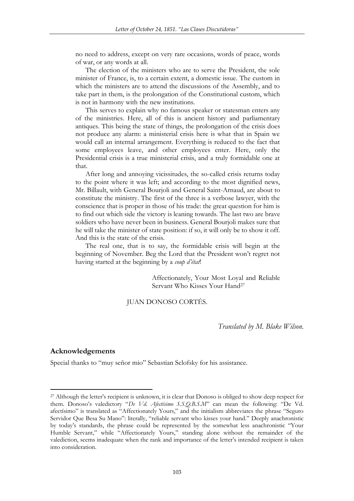no need to address, except on very rare occasions, words of peace, words of war, or any words at all.

The election of the ministers who are to serve the President, the sole minister of France, is, to a certain extent, a domestic issue. The custom in which the ministers are to attend the discussions of the Assembly, and to take part in them, is the prolongation of the Constitutional custom, which is not in harmony with the new institutions.

This serves to explain why no famous speaker or statesman enters any of the ministries. Here, all of this is ancient history and parliamentary antiques. This being the state of things, the prolongation of the crisis does not produce any alarm: a ministerial crisis here is what that in Spain we would call an internal arrangement. Everything is reduced to the fact that some employees leave, and other employees enter. Here, only the Presidential crisis is a true ministerial crisis, and a truly formidable one at that.

After long and annoying vicissitudes, the so-called crisis returns today to the point where it was left; and according to the most dignified news, Mr. Billault, with General Bourjoli and General Saint-Arnaud, are about to constitute the ministry. The first of the three is a verbose lawyer, with the conscience that is proper in those of his trade: the great question for him is to find out which side the victory is leaning towards. The last two are brave soldiers who have never been in business. General Bourjoli makes sure that he will take the minister of state position: if so, it will only be to show it off. And this is the state of the crisis.

The real one, that is to say, the formidable crisis will begin at the beginning of November. Beg the Lord that the President won't regret not having started at the beginning by a *coup d'état*!

> Affectionately, Your Most Loyal and Reliable Servant Who Kisses Your Hand<sup>27</sup>

### JUAN DONOSO CORTÉS.

*Translated by M. Blake Wilson.* 

## **Acknowledgements**

 $\overline{\phantom{a}}$ 

Special thanks to "muy señor mio" Sebastian Sclofsky for his assistance.

<sup>&</sup>lt;sup>27</sup> Although the letter's recipient is unknown, it is clear that Donoso is obliged to show deep respect for them. Donoso's valedictory "*De Vd. Afectísimo S.S.Q.B.S.M*" can mean the following: "De Vd. afectísimo" is translated as "Affectionately Yours," and the initialism abbreviates the phrase "Seguro Servidor Que Besa Su Mano": literally, "reliable servant who kisses your hand." Deeply anachronistic by today's standards, the phrase could be represented by the somewhat less anachronistic "Your Humble Servant," while "Affectionately Yours," standing alone without the remainder of the valediction, seems inadequate when the rank and importance of the letter's intended recipient is taken into consideration.